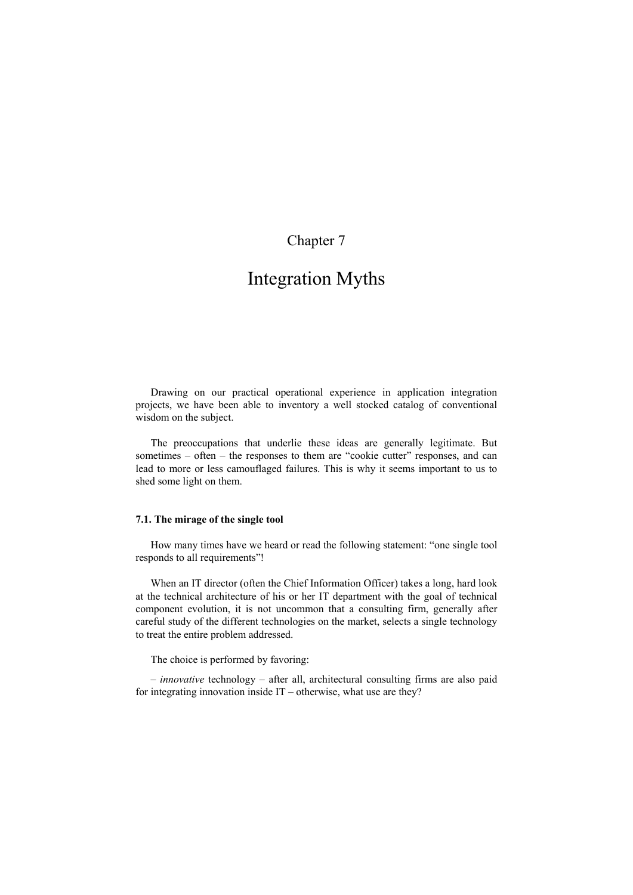# Chapter 7

# Integration Myths

Drawing on our practical operational experience in application integration projects, we have been able to inventory a well stocked catalog of conventional wisdom on the subject.

The preoccupations that underlie these ideas are generally legitimate. But sometimes – often – the responses to them are "cookie cutter" responses, and can lead to more or less camouflaged failures. This is why it seems important to us to shed some light on them.

# **7.1. The mirage of the single tool**

How many times have we heard or read the following statement: "one single tool responds to all requirements"!

When an IT director (often the Chief Information Officer) takes a long, hard look at the technical architecture of his or her IT department with the goal of technical component evolution, it is not uncommon that a consulting firm, generally after careful study of the different technologies on the market, selects a single technology to treat the entire problem addressed.

The choice is performed by favoring:

*– innovative* technology – after all, architectural consulting firms are also paid for integrating innovation inside IT – otherwise, what use are they?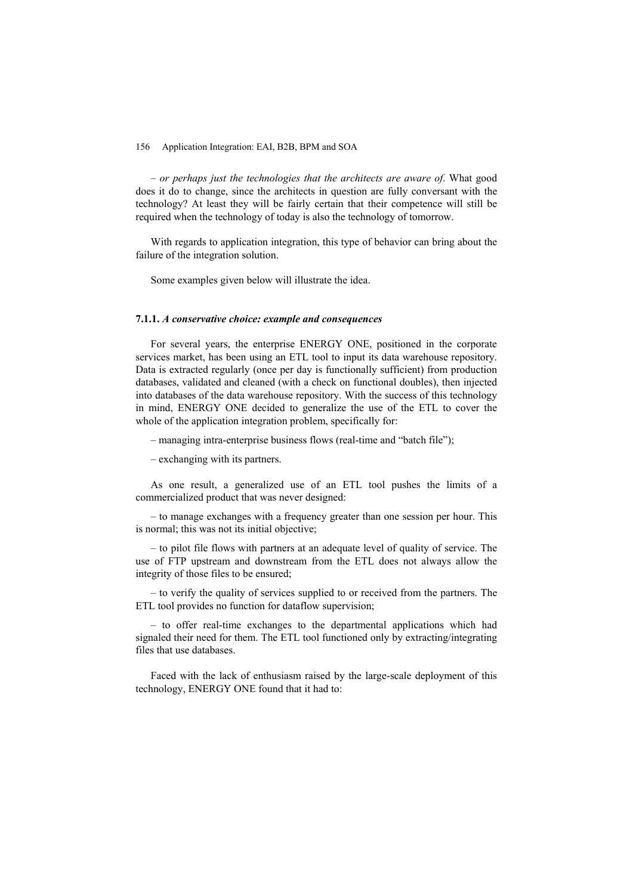*– or perhaps just the technologies that the architects are aware of*. What good does it do to change, since the architects in question are fully conversant with the technology? At least they will be fairly certain that their competence will still be required when the technology of today is also the technology of tomorrow.

With regards to application integration, this type of behavior can bring about the failure of the integration solution.

Some examples given below will illustrate the idea.

#### **7.1.1.** *A conservative choice: example and consequences*

For several years, the enterprise ENERGY ONE, positioned in the corporate services market, has been using an ETL tool to input its data warehouse repository. Data is extracted regularly (once per day is functionally sufficient) from production databases, validated and cleaned (with a check on functional doubles), then injected into databases of the data warehouse repository. With the success of this technology in mind, ENERGY ONE decided to generalize the use of the ETL to cover the whole of the application integration problem, specifically for:

– managing intra-enterprise business flows (real-time and "batch file");

– exchanging with its partners.

As one result, a generalized use of an ETL tool pushes the limits of a commercialized product that was never designed:

– to manage exchanges with a frequency greater than one session per hour. This is normal; this was not its initial objective;

– to pilot file flows with partners at an adequate level of quality of service. The use of FTP upstream and downstream from the ETL does not always allow the integrity of those files to be ensured;

– to verify the quality of services supplied to or received from the partners. The ETL tool provides no function for dataflow supervision;

– to offer real-time exchanges to the departmental applications which had signaled their need for them. The ETL tool functioned only by extracting/integrating files that use databases.

Faced with the lack of enthusiasm raised by the large-scale deployment of this technology, ENERGY ONE found that it had to: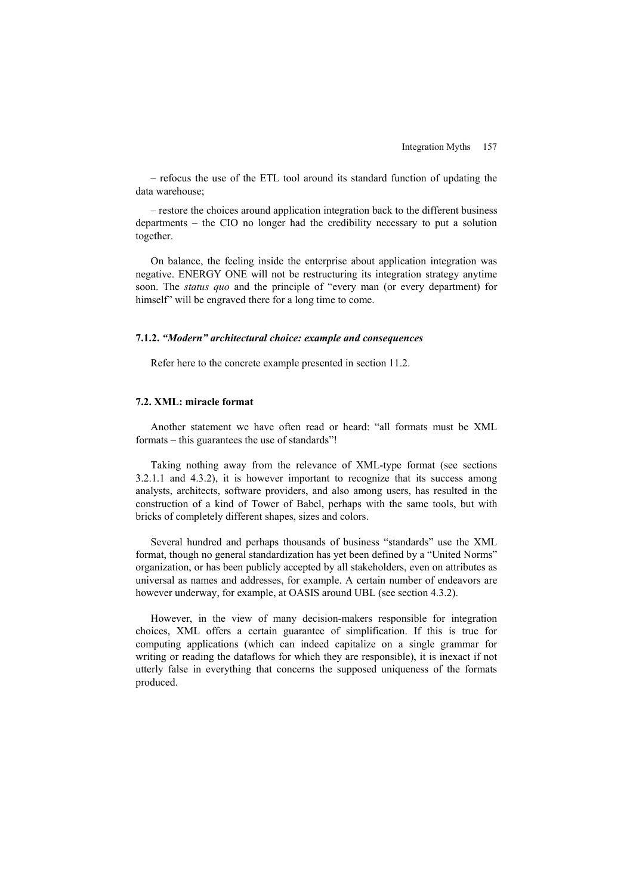– refocus the use of the ETL tool around its standard function of updating the data warehouse;

– restore the choices around application integration back to the different business departments – the CIO no longer had the credibility necessary to put a solution together.

On balance, the feeling inside the enterprise about application integration was negative. ENERGY ONE will not be restructuring its integration strategy anytime soon. The *status quo* and the principle of "every man (or every department) for himself" will be engraved there for a long time to come.

## **7.1.2.** *"Modern" architectural choice: example and consequences*

Refer here to the concrete example presented in section 11.2.

# **7.2. XML: miracle format**

Another statement we have often read or heard: "all formats must be XML formats – this guarantees the use of standards"!

Taking nothing away from the relevance of XML-type format (see sections 3.2.1.1 and 4.3.2), it is however important to recognize that its success among analysts, architects, software providers, and also among users, has resulted in the construction of a kind of Tower of Babel, perhaps with the same tools, but with bricks of completely different shapes, sizes and colors.

Several hundred and perhaps thousands of business "standards" use the XML format, though no general standardization has yet been defined by a "United Norms" organization, or has been publicly accepted by all stakeholders, even on attributes as universal as names and addresses, for example. A certain number of endeavors are however underway, for example, at OASIS around UBL (see section 4.3.2).

However, in the view of many decision-makers responsible for integration choices, XML offers a certain guarantee of simplification. If this is true for computing applications (which can indeed capitalize on a single grammar for writing or reading the dataflows for which they are responsible), it is inexact if not utterly false in everything that concerns the supposed uniqueness of the formats produced.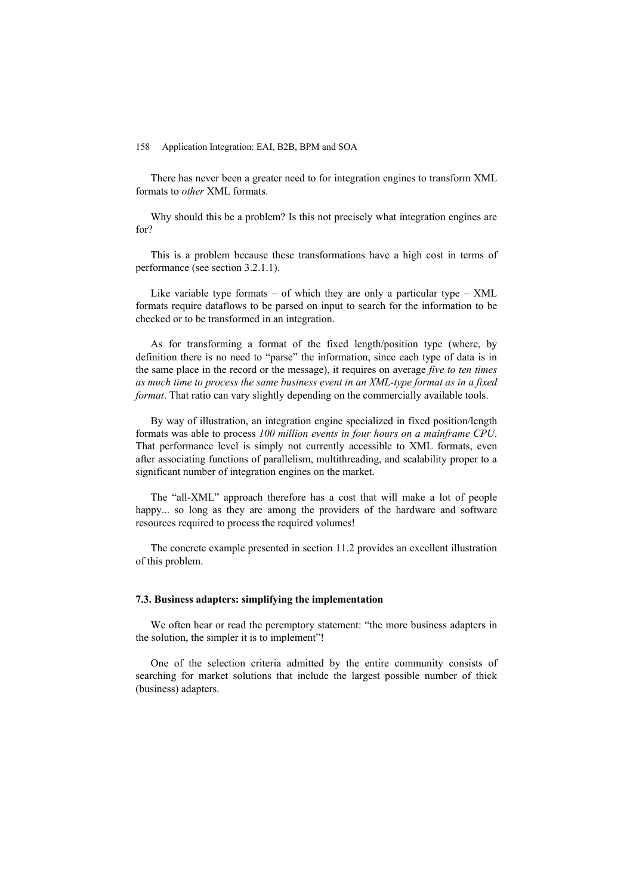There has never been a greater need to for integration engines to transform XML formats to *other* XML formats.

Why should this be a problem? Is this not precisely what integration engines are for?

This is a problem because these transformations have a high cost in terms of performance (see section 3.2.1.1).

Like variable type formats – of which they are only a particular type –  $XML$ formats require dataflows to be parsed on input to search for the information to be checked or to be transformed in an integration.

As for transforming a format of the fixed length/position type (where, by definition there is no need to "parse" the information, since each type of data is in the same place in the record or the message), it requires on average *five to ten times as much time to process the same business event in an XML-type format as in a fixed format*. That ratio can vary slightly depending on the commercially available tools.

By way of illustration, an integration engine specialized in fixed position/length formats was able to process *100 million events in four hours on a mainframe CPU*. That performance level is simply not currently accessible to XML formats, even after associating functions of parallelism, multithreading, and scalability proper to a significant number of integration engines on the market.

The "all-XML" approach therefore has a cost that will make a lot of people happy... so long as they are among the providers of the hardware and software resources required to process the required volumes!

The concrete example presented in section 11.2 provides an excellent illustration of this problem.

### **7.3. Business adapters: simplifying the implementation**

We often hear or read the peremptory statement: "the more business adapters in the solution, the simpler it is to implement"!

One of the selection criteria admitted by the entire community consists of searching for market solutions that include the largest possible number of thick (business) adapters.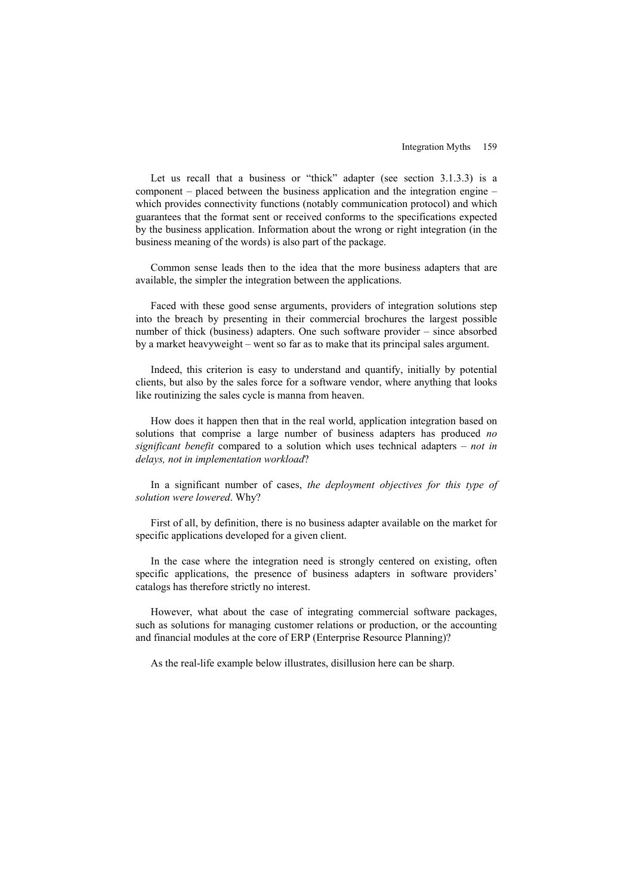Let us recall that a business or "thick" adapter (see section 3.1.3.3) is a component – placed between the business application and the integration engine – which provides connectivity functions (notably communication protocol) and which guarantees that the format sent or received conforms to the specifications expected by the business application. Information about the wrong or right integration (in the business meaning of the words) is also part of the package.

Common sense leads then to the idea that the more business adapters that are available, the simpler the integration between the applications.

Faced with these good sense arguments, providers of integration solutions step into the breach by presenting in their commercial brochures the largest possible number of thick (business) adapters. One such software provider – since absorbed by a market heavyweight – went so far as to make that its principal sales argument.

Indeed, this criterion is easy to understand and quantify, initially by potential clients, but also by the sales force for a software vendor, where anything that looks like routinizing the sales cycle is manna from heaven.

How does it happen then that in the real world, application integration based on solutions that comprise a large number of business adapters has produced *no significant benefit* compared to a solution which uses technical adapters – *not in delays, not in implementation workload*?

In a significant number of cases, *the deployment objectives for this type of solution were lowered*. Why?

First of all, by definition, there is no business adapter available on the market for specific applications developed for a given client.

In the case where the integration need is strongly centered on existing, often specific applications, the presence of business adapters in software providers' catalogs has therefore strictly no interest.

However, what about the case of integrating commercial software packages, such as solutions for managing customer relations or production, or the accounting and financial modules at the core of ERP (Enterprise Resource Planning)?

As the real-life example below illustrates, disillusion here can be sharp.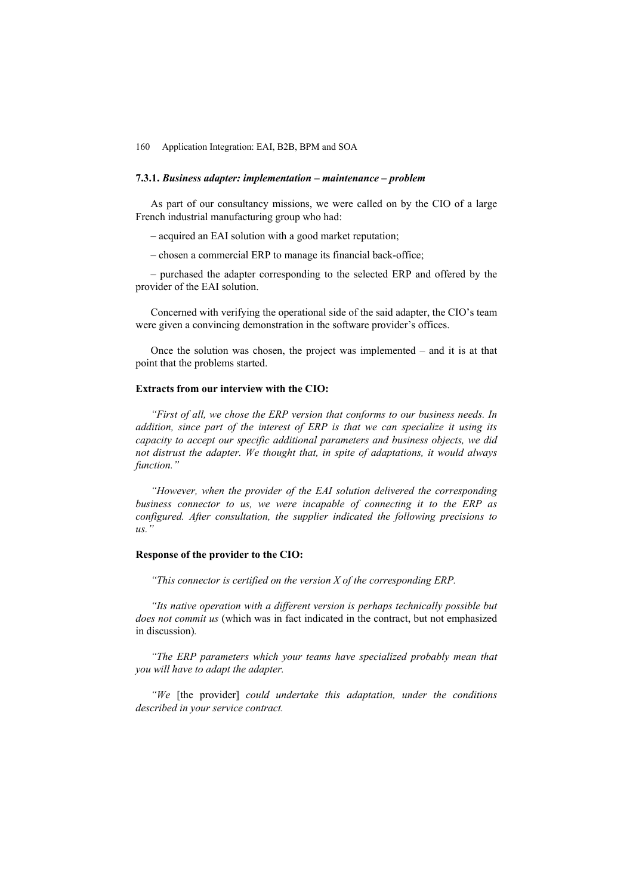#### **7.3.1.** *Business adapter: implementation – maintenance – problem*

As part of our consultancy missions, we were called on by the CIO of a large French industrial manufacturing group who had:

– acquired an EAI solution with a good market reputation;

– chosen a commercial ERP to manage its financial back-office;

– purchased the adapter corresponding to the selected ERP and offered by the provider of the EAI solution.

Concerned with verifying the operational side of the said adapter, the CIO's team were given a convincing demonstration in the software provider's offices.

Once the solution was chosen, the project was implemented – and it is at that point that the problems started.

# **Extracts from our interview with the CIO:**

*"First of all, we chose the ERP version that conforms to our business needs. In addition, since part of the interest of ERP is that we can specialize it using its capacity to accept our specific additional parameters and business objects, we did not distrust the adapter. We thought that, in spite of adaptations, it would always function."* 

*"However, when the provider of the EAI solution delivered the corresponding business connector to us, we were incapable of connecting it to the ERP as configured. After consultation, the supplier indicated the following precisions to us."* 

## **Response of the provider to the CIO:**

*"This connector is certified on the version X of the corresponding ERP.* 

*"Its native operation with a different version is perhaps technically possible but does not commit us* (which was in fact indicated in the contract, but not emphasized in discussion)*.* 

*"The ERP parameters which your teams have specialized probably mean that you will have to adapt the adapter.* 

*"We* [the provider] *could undertake this adaptation, under the conditions described in your service contract.*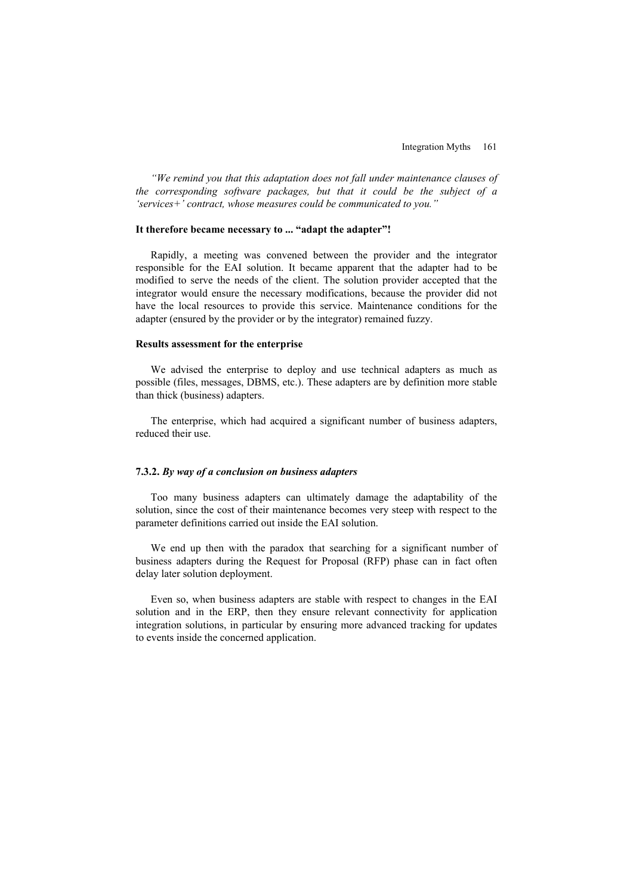*"We remind you that this adaptation does not fall under maintenance clauses of the corresponding software packages, but that it could be the subject of a 'services+' contract, whose measures could be communicated to you."* 

## **It therefore became necessary to ... "adapt the adapter"!**

Rapidly, a meeting was convened between the provider and the integrator responsible for the EAI solution. It became apparent that the adapter had to be modified to serve the needs of the client. The solution provider accepted that the integrator would ensure the necessary modifications, because the provider did not have the local resources to provide this service. Maintenance conditions for the adapter (ensured by the provider or by the integrator) remained fuzzy.

# **Results assessment for the enterprise**

We advised the enterprise to deploy and use technical adapters as much as possible (files, messages, DBMS, etc.). These adapters are by definition more stable than thick (business) adapters.

The enterprise, which had acquired a significant number of business adapters, reduced their use.

# **7.3.2.** *By way of a conclusion on business adapters*

Too many business adapters can ultimately damage the adaptability of the solution, since the cost of their maintenance becomes very steep with respect to the parameter definitions carried out inside the EAI solution.

We end up then with the paradox that searching for a significant number of business adapters during the Request for Proposal (RFP) phase can in fact often delay later solution deployment.

Even so, when business adapters are stable with respect to changes in the EAI solution and in the ERP, then they ensure relevant connectivity for application integration solutions, in particular by ensuring more advanced tracking for updates to events inside the concerned application.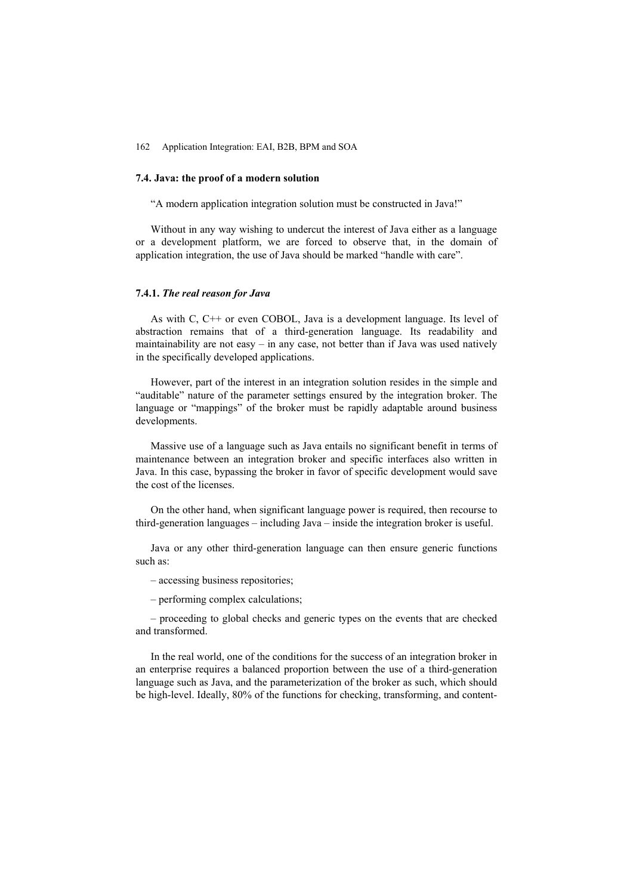#### **7.4. Java: the proof of a modern solution**

"A modern application integration solution must be constructed in Java!"

Without in any way wishing to undercut the interest of Java either as a language or a development platform, we are forced to observe that, in the domain of application integration, the use of Java should be marked "handle with care".

#### **7.4.1.** *The real reason for Java*

As with C, C++ or even COBOL, Java is a development language. Its level of abstraction remains that of a third-generation language. Its readability and maintainability are not easy – in any case, not better than if Java was used natively in the specifically developed applications.

However, part of the interest in an integration solution resides in the simple and "auditable" nature of the parameter settings ensured by the integration broker. The language or "mappings" of the broker must be rapidly adaptable around business developments.

Massive use of a language such as Java entails no significant benefit in terms of maintenance between an integration broker and specific interfaces also written in Java. In this case, bypassing the broker in favor of specific development would save the cost of the licenses.

On the other hand, when significant language power is required, then recourse to third-generation languages – including Java – inside the integration broker is useful.

Java or any other third-generation language can then ensure generic functions such as:

– accessing business repositories;

– performing complex calculations;

– proceeding to global checks and generic types on the events that are checked and transformed.

In the real world, one of the conditions for the success of an integration broker in an enterprise requires a balanced proportion between the use of a third-generation language such as Java, and the parameterization of the broker as such, which should be high-level. Ideally, 80% of the functions for checking, transforming, and content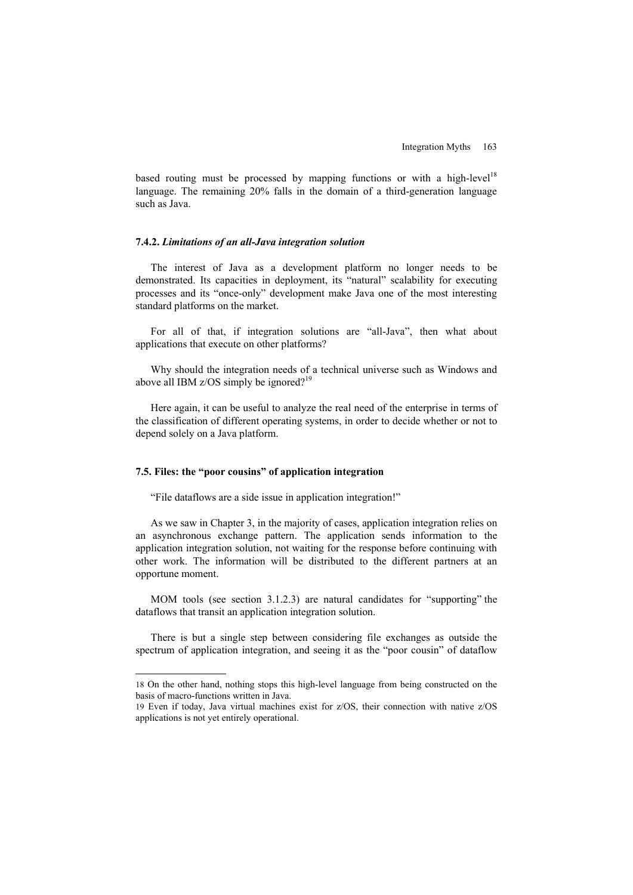based routing must be processed by mapping functions or with a high-level<sup>18</sup> language. The remaining 20% falls in the domain of a third-generation language such as Java.

# **7.4.2.** *Limitations of an all-Java integration solution*

The interest of Java as a development platform no longer needs to be demonstrated. Its capacities in deployment, its "natural" scalability for executing processes and its "once-only" development make Java one of the most interesting standard platforms on the market.

For all of that, if integration solutions are "all-Java", then what about applications that execute on other platforms?

Why should the integration needs of a technical universe such as Windows and above all IBM  $z/OS$  simply be ignored?<sup>19</sup>

Here again, it can be useful to analyze the real need of the enterprise in terms of the classification of different operating systems, in order to decide whether or not to depend solely on a Java platform.

# **7.5. Files: the "poor cousins" of application integration**

 $\overline{a}$ 

"File dataflows are a side issue in application integration!"

As we saw in Chapter 3, in the majority of cases, application integration relies on an asynchronous exchange pattern. The application sends information to the application integration solution, not waiting for the response before continuing with other work. The information will be distributed to the different partners at an opportune moment.

MOM tools (see section 3.1.2.3) are natural candidates for "supporting" the dataflows that transit an application integration solution.

There is but a single step between considering file exchanges as outside the spectrum of application integration, and seeing it as the "poor cousin" of dataflow

<sup>18</sup> On the other hand, nothing stops this high-level language from being constructed on the basis of macro-functions written in Java.

<sup>19</sup> Even if today, Java virtual machines exist for z/OS, their connection with native z/OS applications is not yet entirely operational.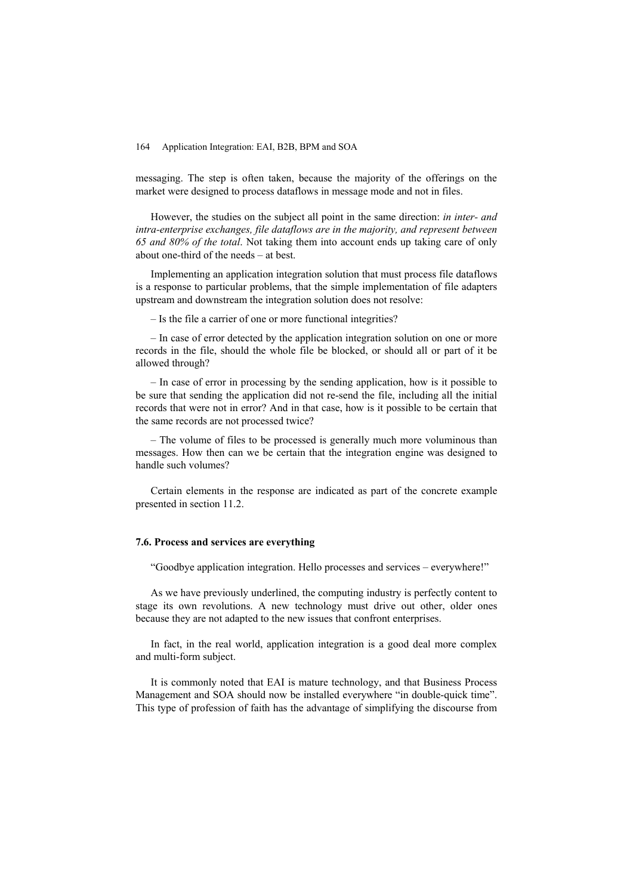messaging. The step is often taken, because the majority of the offerings on the market were designed to process dataflows in message mode and not in files.

However, the studies on the subject all point in the same direction: *in inter- and intra-enterprise exchanges, file dataflows are in the majority, and represent between 65 and 80% of the total*. Not taking them into account ends up taking care of only about one-third of the needs – at best.

Implementing an application integration solution that must process file dataflows is a response to particular problems, that the simple implementation of file adapters upstream and downstream the integration solution does not resolve:

– Is the file a carrier of one or more functional integrities?

– In case of error detected by the application integration solution on one or more records in the file, should the whole file be blocked, or should all or part of it be allowed through?

– In case of error in processing by the sending application, how is it possible to be sure that sending the application did not re-send the file, including all the initial records that were not in error? And in that case, how is it possible to be certain that the same records are not processed twice?

– The volume of files to be processed is generally much more voluminous than messages. How then can we be certain that the integration engine was designed to handle such volumes?

Certain elements in the response are indicated as part of the concrete example presented in section 11.2.

# **7.6. Process and services are everything**

"Goodbye application integration. Hello processes and services – everywhere!"

As we have previously underlined, the computing industry is perfectly content to stage its own revolutions. A new technology must drive out other, older ones because they are not adapted to the new issues that confront enterprises.

In fact, in the real world, application integration is a good deal more complex and multi-form subject.

It is commonly noted that EAI is mature technology, and that Business Process Management and SOA should now be installed everywhere "in double-quick time". This type of profession of faith has the advantage of simplifying the discourse from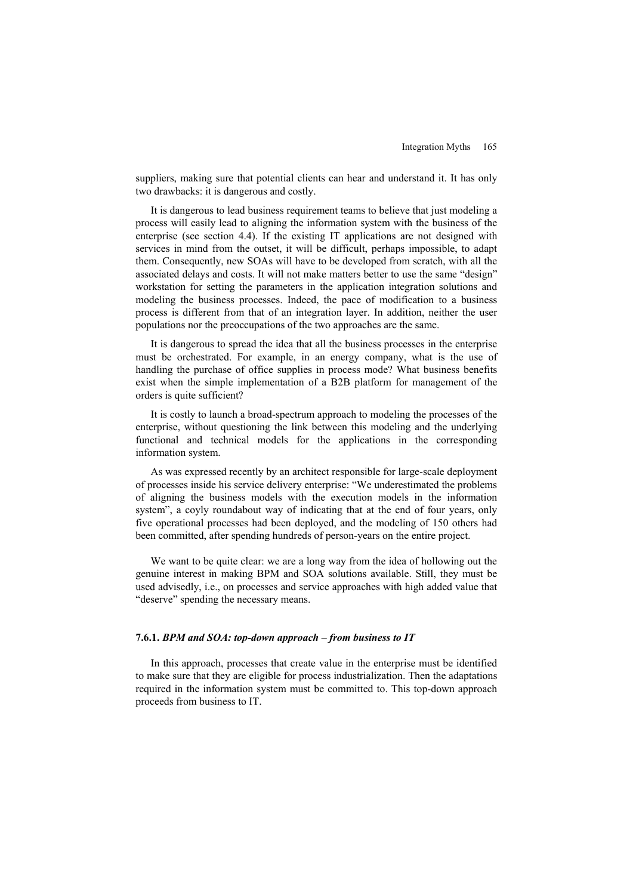suppliers, making sure that potential clients can hear and understand it. It has only two drawbacks: it is dangerous and costly.

It is dangerous to lead business requirement teams to believe that just modeling a process will easily lead to aligning the information system with the business of the enterprise (see section 4.4). If the existing IT applications are not designed with services in mind from the outset, it will be difficult, perhaps impossible, to adapt them. Consequently, new SOAs will have to be developed from scratch, with all the associated delays and costs. It will not make matters better to use the same "design" workstation for setting the parameters in the application integration solutions and modeling the business processes. Indeed, the pace of modification to a business process is different from that of an integration layer. In addition, neither the user populations nor the preoccupations of the two approaches are the same.

It is dangerous to spread the idea that all the business processes in the enterprise must be orchestrated. For example, in an energy company, what is the use of handling the purchase of office supplies in process mode? What business benefits exist when the simple implementation of a B2B platform for management of the orders is quite sufficient?

It is costly to launch a broad-spectrum approach to modeling the processes of the enterprise, without questioning the link between this modeling and the underlying functional and technical models for the applications in the corresponding information system.

As was expressed recently by an architect responsible for large-scale deployment of processes inside his service delivery enterprise: "We underestimated the problems of aligning the business models with the execution models in the information system", a coyly roundabout way of indicating that at the end of four years, only five operational processes had been deployed, and the modeling of 150 others had been committed, after spending hundreds of person-years on the entire project.

We want to be quite clear: we are a long way from the idea of hollowing out the genuine interest in making BPM and SOA solutions available. Still, they must be used advisedly, i.e., on processes and service approaches with high added value that "deserve" spending the necessary means.

#### **7.6.1.** *BPM and SOA: top-down approach – from business to IT*

In this approach, processes that create value in the enterprise must be identified to make sure that they are eligible for process industrialization. Then the adaptations required in the information system must be committed to. This top-down approach proceeds from business to IT.